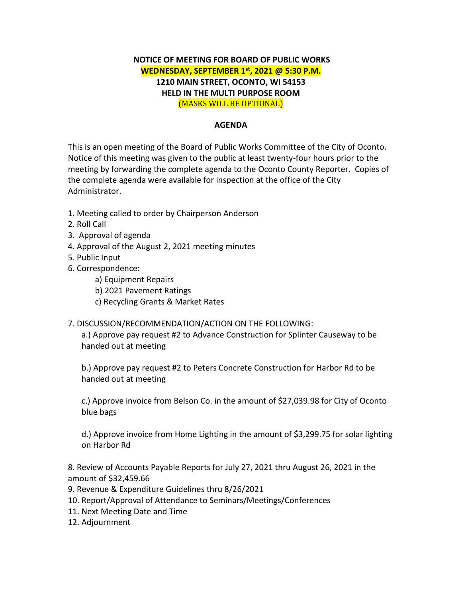## **NOTICE OF MEETING FOR BOARD OF PUBLIC WORKS WEDNESDAY, SEPTEMBER 1st , 2021 @ 5:30 P.M. 1210 MAIN STREET, OCONTO, WI 54153 HELD IN THE MULTI PURPOSE ROOM**  (MASKS WILL BE OPTIONAL)

## **AGENDA**

This is an open meeting of the Board of Public Works Committee of the City of Oconto. Notice of this meeting was given to the public at least twenty-four hours prior to the meeting by forwarding the complete agenda to the Oconto County Reporter. Copies of the complete agenda were available for inspection at the office of the City Administrator.

- 1. Meeting called to order by Chairperson Anderson
- 2. Roll Call
- 3. Approval of agenda
- 4. Approval of the August 2, 2021 meeting minutes
- 5. Public Input
- 6. Correspondence:
	- a) Equipment Repairs
	- b) 2021 Pavement Ratings
	- c) Recycling Grants & Market Rates

## 7. DISCUSSION/RECOMMENDATION/ACTION ON THE FOLLOWING:

a.) Approve pay request #2 to Advance Construction for Splinter Causeway to be handed out at meeting

b.) Approve pay request #2 to Peters Concrete Construction for Harbor Rd to be handed out at meeting

c.) Approve invoice from Belson Co. in the amount of \$27,039.98 for City of Oconto blue bags

d.) Approve invoice from Home Lighting in the amount of \$3,299.75 for solar lighting on Harbor Rd

8. Review of Accounts Payable Reports for July 27, 2021 thru August 26, 2021 in the amount of \$32,459.66

- 9. Revenue & Expenditure Guidelines thru 8/26/2021
- 10. Report/Approval of Attendance to Seminars/Meetings/Conferences
- 11. Next Meeting Date and Time
- 12. Adjournment